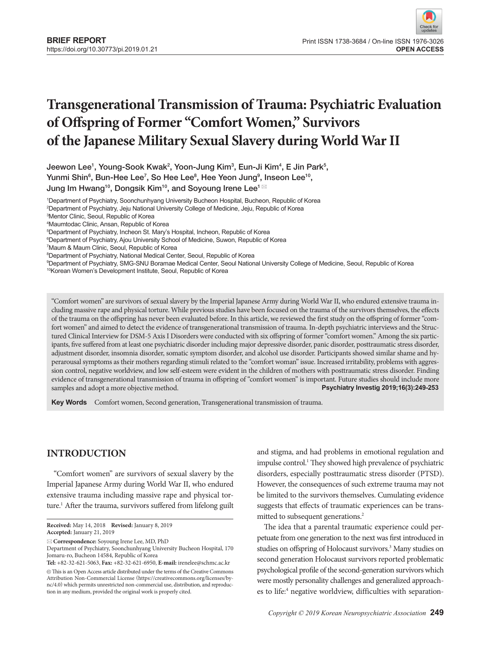# **Transgenerational Transmission of Trauma: Psychiatric Evaluation of Offspring of Former "Comfort Women," Survivors of the Japanese Military Sexual Slavery during World War II**

Jeewon Lee<sup>1</sup>, Young-Sook Kwak<sup>2</sup>, Yoon-Jung Kim<sup>3</sup>, Eun-Ji Kim<sup>4</sup>, E Jin Park<sup>5</sup>, Yunmi Shin $^6$ , Bun-Hee Lee<sup>7</sup>, So Hee Lee $^8$ , Hee Yeon Jung $^9$ , Inseon Lee $^{10}$ , Jung Im Hwang<sup>10</sup>, Dongsik Kim<sup>10</sup>, and Soyoung Irene Lee<sup>1 $\boxtimes$ </sup>

1 Department of Psychiatry, Soonchunhyang University Bucheon Hospital, Bucheon, Republic of Korea

2 Department of Psychiatry, Jeju National University College of Medicine, Jeju, Republic of Korea

3 Mentor Clinic, Seoul, Republic of Korea

4 Maumtodac Clinic, Ansan, Republic of Korea

5 Department of Psychiatry, Incheon St. Mary's Hospital, Incheon, Republic of Korea

6 Department of Psychiatry, Ajou University School of Medicine, Suwon, Republic of Korea

8 Department of Psychiatry, National Medical Center, Seoul, Republic of Korea

9 Department of Psychiatry, SMG-SNU Boramae Medical Center, Seoul National University College of Medicine, Seoul, Republic of Korea

10Korean Women's Development Institute, Seoul, Republic of Korea

"Comfort women" are survivors of sexual slavery by the Imperial Japanese Army during World War II, who endured extensive trauma including massive rape and physical torture. While previous studies have been focused on the trauma of the survivors themselves, the effects of the trauma on the offspring has never been evaluated before. In this article, we reviewed the first study on the offspring of former "comfort women" and aimed to detect the evidence of transgenerational transmission of trauma. In-depth psychiatric interviews and the Structured Clinical Interview for DSM-5 Axis I Disorders were conducted with six offspring of former "comfort women." Among the six participants, five suffered from at least one psychiatric disorder including major depressive disorder, panic disorder, posttraumatic stress disorder, adjustment disorder, insomnia disorder, somatic symptom disorder, and alcohol use disorder. Participants showed similar shame and hyperarousal symptoms as their mothers regarding stimuli related to the "comfort woman" issue. Increased irritability, problems with aggression control, negative worldview, and low self-esteem were evident in the children of mothers with posttraumatic stress disorder. Finding evidence of transgenerational transmission of trauma in offspring of "comfort women" is important. Future studies should include more samples and adopt a more objective method. **Psychiatry Investig 2019;16(3):249-253**

Key Words Comfort women, Second generation, Transgenerational transmission of trauma.

# **INTRODUCTION**

"Comfort women" are survivors of sexual slavery by the Imperial Japanese Army during World War II, who endured extensive trauma including massive rape and physical torture.<sup>1</sup> After the trauma, survivors suffered from lifelong guilt and stigma, and had problems in emotional regulation and impulse control.<sup>1</sup> They showed high prevalence of psychiatric disorders, especially posttraumatic stress disorder (PTSD). However, the consequences of such extreme trauma may not be limited to the survivors themselves. Cumulating evidence suggests that effects of traumatic experiences can be transmitted to subsequent generations.<sup>2</sup>

The idea that a parental traumatic experience could perpetuate from one generation to the next was first introduced in studies on offspring of Holocaust survivors.<sup>3</sup> Many studies on second generation Holocaust survivors reported problematic psychological profile of the second-generation survivors which were mostly personality challenges and generalized approaches to life:<sup>4</sup> negative worldview, difficulties with separation-

<sup>7</sup> Maum & Maum Clinic, Seoul, Republic of Korea

**Received:** May 14, 2018 **Revised:** January 8, 2019 **Accepted:** January 21, 2019

**Correspondence:** Soyoung Irene Lee, MD, PhD

Department of Psychiatry, Soonchunhyang University Bucheon Hospital, 170 Jomaru-ro, Bucheon 14584, Republic of Korea

**Tel:** +82-32-621-5063, **Fax:** +82-32-621-6950, **E-mail:** irenelee@schmc.ac.kr

 $\circledR$  This is an Open Access article distributed under the terms of the Creative Commons Attribution Non-Commercial License (https://creativecommons.org/licenses/bync/4.0) which permits unrestricted non-commercial use, distribution, and reproduction in any medium, provided the original work is properly cited.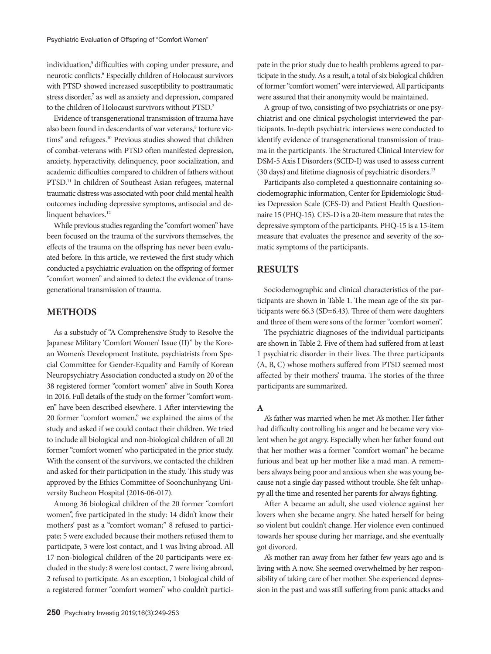individuation,<sup>5</sup> difficulties with coping under pressure, and neurotic conflicts.<sup>6</sup> Especially children of Holocaust survivors with PTSD showed increased susceptibility to posttraumatic stress disorder,<sup>7</sup> as well as anxiety and depression, compared to the children of Holocaust survivors without PTSD.2

Evidence of transgenerational transmission of trauma have also been found in descendants of war veterans,<sup>8</sup> torture victims<sup>9</sup> and refugees.<sup>10</sup> Previous studies showed that children of combat-veterans with PTSD often manifested depression, anxiety, hyperactivity, delinquency, poor socialization, and academic difficulties compared to children of fathers without PTSD.11 In children of Southeast Asian refugees, maternal traumatic distress was associated with poor child mental health outcomes including depressive symptoms, antisocial and delinquent behaviors.<sup>12</sup>

While previous studies regarding the "comfort women" have been focused on the trauma of the survivors themselves, the effects of the trauma on the offspring has never been evaluated before. In this article, we reviewed the first study which conducted a psychiatric evaluation on the offspring of former "comfort women" and aimed to detect the evidence of transgenerational transmission of trauma.

# **METHODS**

As a substudy of "A Comprehensive Study to Resolve the Japanese Military 'Comfort Women' Issue (II)" by the Korean Women's Development Institute, psychiatrists from Special Committee for Gender-Equality and Family of Korean Neuropsychiatry Association conducted a study on 20 of the 38 registered former "comfort women" alive in South Korea in 2016. Full details of the study on the former "comfort women" have been described elsewhere. 1 After interviewing the 20 former "comfort women," we explained the aims of the study and asked if we could contact their children. We tried to include all biological and non-biological children of all 20 former "comfort women' who participated in the prior study. With the consent of the survivors, we contacted the children and asked for their participation in the study. This study was approved by the Ethics Committee of Soonchunhyang University Bucheon Hospital (2016-06-017).

Among 36 biological children of the 20 former "comfort women", five participated in the study: 14 didn't know their mothers' past as a "comfort woman;" 8 refused to participate; 5 were excluded because their mothers refused them to participate, 3 were lost contact, and 1 was living abroad. All 17 non-biological children of the 20 participants were excluded in the study: 8 were lost contact, 7 were living abroad, 2 refused to participate. As an exception, 1 biological child of a registered former "comfort women" who couldn't participate in the prior study due to health problems agreed to participate in the study. As a result, a total of six biological children of former "comfort women" were interviewed. All participants were assured that their anonymity would be maintained.

A group of two, consisting of two psychiatrists or one psychiatrist and one clinical psychologist interviewed the participants. In-depth psychiatric interviews were conducted to identify evidence of transgenerational transmission of trauma in the participants. The Structured Clinical Interview for DSM-5 Axis I Disorders (SCID-I) was used to assess current (30 days) and lifetime diagnosis of psychiatric disorders.13

Participants also completed a questionnaire containing sociodemographic information, Center for Epidemiologic Studies Depression Scale (CES-D) and Patient Health Questionnaire 15 (PHQ-15). CES-D is a 20-item measure that rates the depressive symptom of the participants. PHQ-15 is a 15-item measure that evaluates the presence and severity of the somatic symptoms of the participants.

# **RESULTS**

Sociodemographic and clinical characteristics of the participants are shown in Table 1. The mean age of the six participants were 66.3 (SD=6.43). Three of them were daughters and three of them were sons of the former "comfort women".

The psychiatric diagnoses of the individual participants are shown in Table 2. Five of them had suffered from at least 1 psychiatric disorder in their lives. The three participants (A, B, C) whose mothers suffered from PTSD seemed most affected by their mothers' trauma. The stories of the three participants are summarized.

### **A**

A's father was married when he met A's mother. Her father had difficulty controlling his anger and he became very violent when he got angry. Especially when her father found out that her mother was a former "comfort woman" he became furious and beat up her mother like a mad man. A remembers always being poor and anxious when she was young because not a single day passed without trouble. She felt unhappy all the time and resented her parents for always fighting.

After A became an adult, she used violence against her lovers when she became angry. She hated herself for being so violent but couldn't change. Her violence even continued towards her spouse during her marriage, and she eventually got divorced.

A's mother ran away from her father few years ago and is living with A now. She seemed overwhelmed by her responsibility of taking care of her mother. She experienced depression in the past and was still suffering from panic attacks and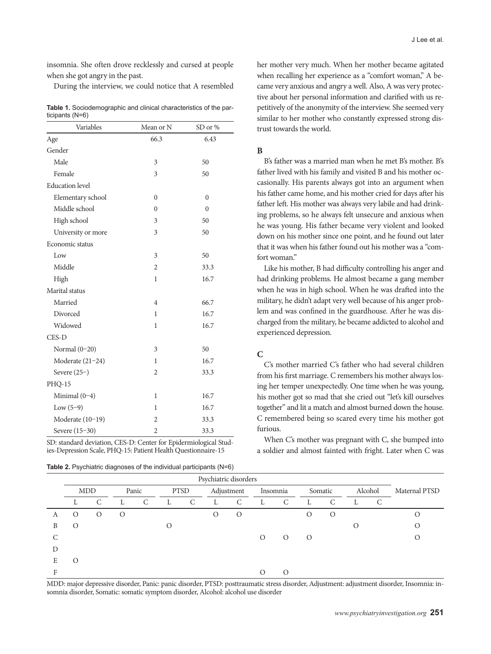insomnia. She often drove recklessly and cursed at people when she got angry in the past.

During the interview, we could notice that A resembled

**Table 1.** Sociodemographic and clinical characteristics of the participants (N=6)

| Variables              | Mean or N      | SD or %      |  |  |
|------------------------|----------------|--------------|--|--|
| Age                    | 66.3           | 6.43         |  |  |
| Gender                 |                |              |  |  |
| Male                   | 3              | 50           |  |  |
| Female                 | 3              | 50           |  |  |
| <b>Education</b> level |                |              |  |  |
| Elementary school      | $\overline{0}$ | $\theta$     |  |  |
| Middle school          | $\overline{0}$ | $\mathbf{0}$ |  |  |
| High school            | 3              | 50           |  |  |
| University or more     | 3              | 50           |  |  |
| Economic status        |                |              |  |  |
| Low                    | 3              | 50           |  |  |
| Middle                 | $\overline{2}$ | 33.3         |  |  |
| High                   | $\mathbf{1}$   | 16.7         |  |  |
| Marital status         |                |              |  |  |
| Married                | 4              | 66.7         |  |  |
| Divorced               | 1              | 16.7         |  |  |
| Widowed                | $\mathbf{1}$   | 16.7         |  |  |
| CES-D                  |                |              |  |  |
| Normal $(0-20)$        | 3              | 50           |  |  |
| Moderate (21-24)       | 1              | 16.7         |  |  |
| Severe $(25-)$         | $\overline{2}$ | 33.3         |  |  |
| <b>PHQ-15</b>          |                |              |  |  |
| Minimal $(0-4)$        | 1              | 16.7         |  |  |
| Low $(5-9)$            | $\mathbf{1}$   | 16.7         |  |  |
| Moderate (10-19)       | $\overline{2}$ | 33.3         |  |  |
| Severe (15-30)         | $\overline{2}$ | 33.3         |  |  |

SD: standard deviation, CES-D: Center for Epidermiological Studies-Depression Scale, PHQ-15: Patient Health Questionnaire-15

**Table 2.** Psychiatric diagnoses of the individual participants (N=6)

her mother very much. When her mother became agitated when recalling her experience as a "comfort woman," A became very anxious and angry a well. Also, A was very protective about her personal information and clarified with us repetitively of the anonymity of the interview. She seemed very similar to her mother who constantly expressed strong distrust towards the world.

## **B**

B's father was a married man when he met B's mother. B's father lived with his family and visited B and his mother occasionally. His parents always got into an argument when his father came home, and his mother cried for days after his father left. His mother was always very labile and had drinking problems, so he always felt unsecure and anxious when he was young. His father became very violent and looked down on his mother since one point, and he found out later that it was when his father found out his mother was a "comfort woman<sup>"</sup>

Like his mother, B had difficulty controlling his anger and had drinking problems. He almost became a gang member when he was in high school. When he was drafted into the military, he didn't adapt very well because of his anger problem and was confined in the guardhouse. After he was discharged from the military, he became addicted to alcohol and experienced depression.

## **C**

C's mother married C's father who had several children from his first marriage. C remembers his mother always losing her temper unexpectedly. One time when he was young, his mother got so mad that she cried out "let's kill ourselves together" and lit a match and almost burned down the house. C remembered being so scared every time his mother got furious.

When C's mother was pregnant with C, she bumped into a soldier and almost fainted with fright. Later when C was

|   | Psychiatric disorders |         |         |       |   |             |            |          |          |          |          |          |         |   |               |
|---|-----------------------|---------|---------|-------|---|-------------|------------|----------|----------|----------|----------|----------|---------|---|---------------|
|   | <b>MDD</b>            |         |         | Panic |   | <b>PTSD</b> | Adjustment |          | Insomnia |          | Somatic  |          | Alcohol |   | Maternal PTSD |
|   | L                     | C       | L       | C     | L | C           | L.         | C        | L        | C        | L        | C        | L       | C |               |
| А | $\Omega$              | $\circ$ | $\circ$ |       |   |             | $\Omega$   | $\Omega$ |          |          | $\Omega$ | $\Omega$ |         |   |               |
| B | $\Omega$              |         |         |       | Ω |             |            |          |          |          |          |          |         |   |               |
|   |                       |         |         |       |   |             |            |          | $\Omega$ | $\Omega$ | $\Omega$ |          |         |   |               |
| D |                       |         |         |       |   |             |            |          |          |          |          |          |         |   |               |
| E | $\circ$               |         |         |       |   |             |            |          |          |          |          |          |         |   |               |
|   |                       |         |         |       |   |             |            |          |          |          |          |          |         |   |               |

MDD: major depressive disorder, Panic: panic disorder, PTSD: posttraumatic stress disorder, Adjustment: adjustment disorder, Insomnia: insomnia disorder, Somatic: somatic symptom disorder, Alcohol: alcohol use disorder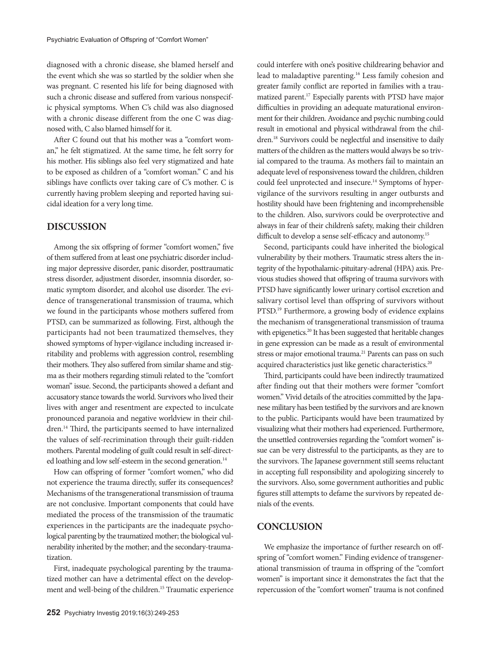diagnosed with a chronic disease, she blamed herself and the event which she was so startled by the soldier when she was pregnant. C resented his life for being diagnosed with such a chronic disease and suffered from various nonspecific physical symptoms. When C's child was also diagnosed with a chronic disease different from the one C was diagnosed with, C also blamed himself for it.

After C found out that his mother was a "comfort woman," he felt stigmatized. At the same time, he felt sorry for his mother. His siblings also feel very stigmatized and hate to be exposed as children of a "comfort woman." C and his siblings have conflicts over taking care of C's mother. C is currently having problem sleeping and reported having suicidal ideation for a very long time.

# **DISCUSSION**

Among the six offspring of former "comfort women," five of them suffered from at least one psychiatric disorder including major depressive disorder, panic disorder, posttraumatic stress disorder, adjustment disorder, insomnia disorder, somatic symptom disorder, and alcohol use disorder. The evidence of transgenerational transmission of trauma, which we found in the participants whose mothers suffered from PTSD, can be summarized as following. First, although the participants had not been traumatized themselves, they showed symptoms of hyper-vigilance including increased irritability and problems with aggression control, resembling their mothers. They also suffered from similar shame and stigma as their mothers regarding stimuli related to the "comfort woman" issue. Second, the participants showed a defiant and accusatory stance towards the world. Survivors who lived their lives with anger and resentment are expected to inculcate pronounced paranoia and negative worldview in their children.14 Third, the participants seemed to have internalized the values of self-recrimination through their guilt-ridden mothers. Parental modeling of guilt could result in self-directed loathing and low self-esteem in the second generation.<sup>14</sup>

How can offspring of former "comfort women," who did not experience the trauma directly, suffer its consequences? Mechanisms of the transgenerational transmission of trauma are not conclusive. Important components that could have mediated the process of the transmission of the traumatic experiences in the participants are the inadequate psychological parenting by the traumatized mother; the biological vulnerability inherited by the mother; and the secondary-traumatization.

First, inadequate psychological parenting by the traumatized mother can have a detrimental effect on the development and well-being of the children.<sup>15</sup> Traumatic experience could interfere with one's positive childrearing behavior and lead to maladaptive parenting.16 Less family cohesion and greater family conflict are reported in families with a traumatized parent.17 Especially parents with PTSD have major difficulties in providing an adequate maturational environment for their children. Avoidance and psychic numbing could result in emotional and physical withdrawal from the children.<sup>18</sup> Survivors could be neglectful and insensitive to daily matters of the children as the matters would always be so trivial compared to the trauma. As mothers fail to maintain an adequate level of responsiveness toward the children, children could feel unprotected and insecure.<sup>14</sup> Symptoms of hypervigilance of the survivors resulting in anger outbursts and hostility should have been frightening and incomprehensible to the children. Also, survivors could be overprotective and always in fear of their children's safety, making their children difficult to develop a sense self-efficacy and autonomy.<sup>15</sup>

Second, participants could have inherited the biological vulnerability by their mothers. Traumatic stress alters the integrity of the hypothalamic-pituitary-adrenal (HPA) axis. Previous studies showed that offspring of trauma survivors with PTSD have significantly lower urinary cortisol excretion and salivary cortisol level than offspring of survivors without PTSD.<sup>19</sup> Furthermore, a growing body of evidence explains the mechanism of transgenerational transmission of trauma with epigenetics.<sup>20</sup> It has been suggested that heritable changes in gene expression can be made as a result of environmental stress or major emotional trauma.<sup>21</sup> Parents can pass on such acquired characteristics just like genetic characteristics.<sup>20</sup>

Third, participants could have been indirectly traumatized after finding out that their mothers were former "comfort women." Vivid details of the atrocities committed by the Japanese military has been testified by the survivors and are known to the public. Participants would have been traumatized by visualizing what their mothers had experienced. Furthermore, the unsettled controversies regarding the "comfort women" issue can be very distressful to the participants, as they are to the survivors. The Japanese government still seems reluctant in accepting full responsibility and apologizing sincerely to the survivors. Also, some government authorities and public figures still attempts to defame the survivors by repeated denials of the events.

## **CONCLUSION**

We emphasize the importance of further research on offspring of "comfort women." Finding evidence of transgenerational transmission of trauma in offspring of the "comfort women" is important since it demonstrates the fact that the repercussion of the "comfort women" trauma is not confined